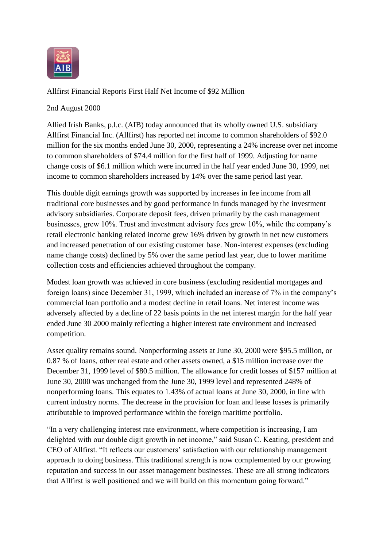

Allfirst Financial Reports First Half Net Income of \$92 Million

2nd August 2000

Allied Irish Banks, p.l.c. (AIB) today announced that its wholly owned U.S. subsidiary Allfirst Financial Inc. (Allfirst) has reported net income to common shareholders of \$92.0 million for the six months ended June 30, 2000, representing a 24% increase over net income to common shareholders of \$74.4 million for the first half of 1999. Adjusting for name change costs of \$6.1 million which were incurred in the half year ended June 30, 1999, net income to common shareholders increased by 14% over the same period last year.

This double digit earnings growth was supported by increases in fee income from all traditional core businesses and by good performance in funds managed by the investment advisory subsidiaries. Corporate deposit fees, driven primarily by the cash management businesses, grew 10%. Trust and investment advisory fees grew 10%, while the company's retail electronic banking related income grew 16% driven by growth in net new customers and increased penetration of our existing customer base. Non-interest expenses (excluding name change costs) declined by 5% over the same period last year, due to lower maritime collection costs and efficiencies achieved throughout the company.

Modest loan growth was achieved in core business (excluding residential mortgages and foreign loans) since December 31, 1999, which included an increase of 7% in the company's commercial loan portfolio and a modest decline in retail loans. Net interest income was adversely affected by a decline of 22 basis points in the net interest margin for the half year ended June 30 2000 mainly reflecting a higher interest rate environment and increased competition.

Asset quality remains sound. Nonperforming assets at June 30, 2000 were \$95.5 million, or 0.87 % of loans, other real estate and other assets owned, a \$15 million increase over the December 31, 1999 level of \$80.5 million. The allowance for credit losses of \$157 million at June 30, 2000 was unchanged from the June 30, 1999 level and represented 248% of nonperforming loans. This equates to 1.43% of actual loans at June 30, 2000, in line with current industry norms. The decrease in the provision for loan and lease losses is primarily attributable to improved performance within the foreign maritime portfolio.

"In a very challenging interest rate environment, where competition is increasing, I am delighted with our double digit growth in net income," said Susan C. Keating, president and CEO of Allfirst. "It reflects our customers' satisfaction with our relationship management approach to doing business. This traditional strength is now complemented by our growing reputation and success in our asset management businesses. These are all strong indicators that Allfirst is well positioned and we will build on this momentum going forward."